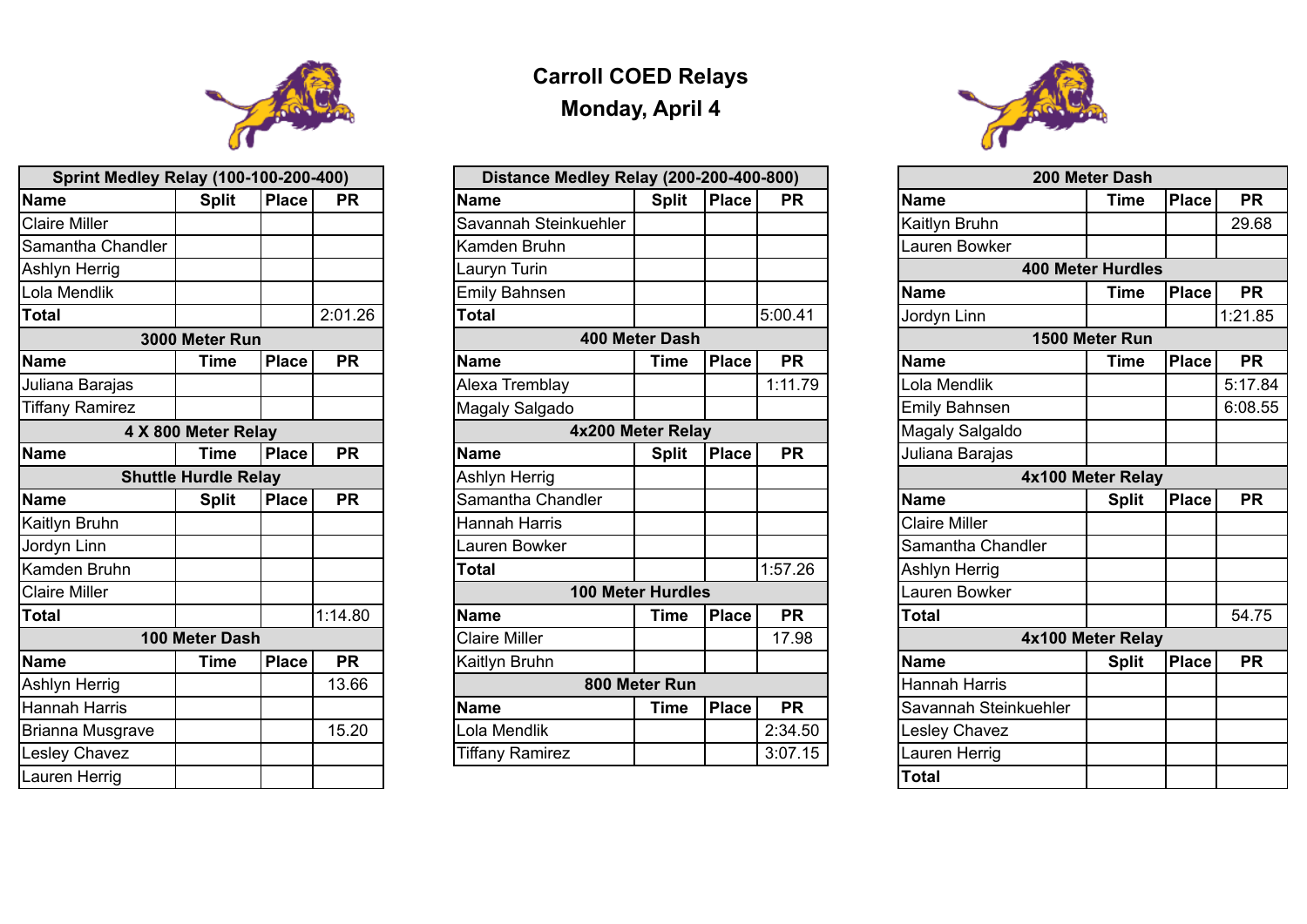## **Carroll COED Relays Monday, April 4**

| <b>Sprint Medley Relay (100-100-200-400)</b> |                             |              | Distance Medley Relay (200-200-400-800) |                        |                          |              | 200 Meter Dash |                        |                          |              |           |
|----------------------------------------------|-----------------------------|--------------|-----------------------------------------|------------------------|--------------------------|--------------|----------------|------------------------|--------------------------|--------------|-----------|
| <b>Name</b>                                  | <b>Split</b>                | <b>Place</b> | <b>PR</b>                               | <b>Name</b>            | <b>Split</b>             | <b>Place</b> | <b>PR</b>      | <b>Name</b>            | Time                     | <b>Place</b> | <b>PR</b> |
| <b>Claire Miller</b>                         |                             |              |                                         | Savannah Steinkuehler  |                          |              |                | <b>Kaitlyn Bruhn</b>   |                          |              | 29.68     |
| Samantha Chandler                            |                             |              |                                         | Kamden Bruhn           |                          |              |                | Lauren Bowker          |                          |              |           |
| Ashlyn Herrig                                |                             |              |                                         | Lauryn Turin           |                          |              |                |                        | <b>400 Meter Hurdles</b> |              |           |
| Lola Mendlik                                 |                             |              |                                         | <b>Emily Bahnsen</b>   |                          |              |                | Name                   | Time                     | <b>Place</b> | <b>PR</b> |
| <b>Total</b>                                 |                             |              | 2:01.26                                 | <b>Total</b>           |                          |              | 5:00.41        | Jordyn Linn            |                          |              | 1:21.85   |
|                                              | 3000 Meter Run              |              |                                         |                        | 400 Meter Dash           |              |                |                        | 1500 Meter Run           |              |           |
| <b>Name</b>                                  | <b>Time</b>                 | <b>Place</b> | <b>PR</b>                               | <b>Name</b>            | Time                     | <b>Place</b> | <b>PR</b>      | <b>Name</b>            | Time                     | <b>Place</b> | <b>PR</b> |
| Juliana Barajas                              |                             |              |                                         | <b>Alexa Tremblay</b>  |                          |              | 1:11.79        | Lola Mendlik           |                          |              | 5:17.84   |
| <b>Tiffany Ramirez</b>                       |                             |              |                                         | <b>Magaly Salgado</b>  |                          |              |                | <b>Emily Bahnsen</b>   |                          |              | 6:08.55   |
|                                              | 4 X 800 Meter Relay         |              |                                         |                        | 4x200 Meter Relay        |              |                | <b>Magaly Salgaldo</b> |                          |              |           |
| <b>Name</b>                                  | Time                        | <b>Place</b> | <b>PR</b>                               | <b>Name</b>            | <b>Split</b>             | <b>Place</b> | <b>PR</b>      | Juliana Barajas        |                          |              |           |
|                                              | <b>Shuttle Hurdle Relay</b> |              | Ashlyn Herrig                           |                        |                          |              |                | 4x100 Meter Relay      |                          |              |           |
| <b>Name</b>                                  | <b>Split</b>                | <b>Place</b> | <b>PR</b>                               | Samantha Chandler      |                          |              |                | <b>Name</b>            | <b>Split</b>             | <b>Place</b> | <b>PR</b> |
| Kaitlyn Bruhn                                |                             |              |                                         | <b>Hannah Harris</b>   |                          |              |                | <b>Claire Miller</b>   |                          |              |           |
| Jordyn Linn                                  |                             |              |                                         | Lauren Bowker          |                          |              |                | Samantha Chandler      |                          |              |           |
| Kamden Bruhn                                 |                             |              |                                         | <b>Total</b>           |                          |              | 1:57.26        | Ashlyn Herrig          |                          |              |           |
| <b>Claire Miller</b>                         |                             |              |                                         |                        | <b>100 Meter Hurdles</b> |              |                | Lauren Bowker          |                          |              |           |
| <b>Total</b>                                 |                             |              | 1:14.80                                 | <b>Name</b>            | Time                     | <b>Place</b> | <b>PR</b>      | <b>Total</b>           |                          |              | 54.75     |
|                                              | 100 Meter Dash              |              |                                         | <b>Claire Miller</b>   |                          |              | 17.98          |                        | 4x100 Meter Relay        |              |           |
| <b>Name</b>                                  | Time                        | <b>Place</b> | <b>PR</b>                               | Kaitlyn Bruhn          |                          |              |                | Name                   | <b>Split</b>             | <b>Place</b> | <b>PR</b> |
| Ashlyn Herrig                                |                             |              | 13.66                                   |                        | 800 Meter Run            |              |                | Hannah Harris          |                          |              |           |
| Hannah Harris                                |                             |              |                                         | Name                   | <b>Time</b>              | <b>Place</b> | <b>PR</b>      | Savannah Steinkuehler  |                          |              |           |
| Brianna Musgrave                             |                             |              | 15.20                                   | Lola Mendlik           |                          |              | 2:34.50        | Lesley Chavez          |                          |              |           |
| <b>Lesley Chavez</b>                         |                             |              |                                         | <b>Tiffany Ramirez</b> |                          |              | 3:07.15        | Lauren Herrig          |                          |              |           |



| Name                 |
|----------------------|
| <b>Kaitlyn Bruh</b>  |
| Lauren Bow           |
|                      |
| Name                 |
| Jordyn Linn          |
|                      |
| <b>Name</b>          |
| Lola Mendli          |
| <b>Emily Bahn</b>    |
| Magaly Sal           |
| Juliana Bar          |
|                      |
| <b>Name</b>          |
| <b>Claire Miller</b> |
|                      |

| <b>Dalilalitild</b> ' |  |
|-----------------------|--|
| Ashlyn Her            |  |
| Lauren Bov            |  |

| otal |  |
|------|--|
|      |  |

| am |
|----|
|----|

| 200 Meter Dash           |                   |              |           |  |  |  |  |  |  |
|--------------------------|-------------------|--------------|-----------|--|--|--|--|--|--|
|                          | Time              | <b>Place</b> | <b>PR</b> |  |  |  |  |  |  |
| IN                       |                   |              | 29.68     |  |  |  |  |  |  |
| ker                      |                   |              |           |  |  |  |  |  |  |
| <b>400 Meter Hurdles</b> |                   |              |           |  |  |  |  |  |  |
|                          | Time              | <b>Place</b> | <b>PR</b> |  |  |  |  |  |  |
|                          |                   |              | 1:21.85   |  |  |  |  |  |  |
|                          | 1500 Meter Run    |              |           |  |  |  |  |  |  |
|                          | Time              | <b>Place</b> | <b>PR</b> |  |  |  |  |  |  |
| $\overline{\textbf{C}}$  |                   |              | 5:17.84   |  |  |  |  |  |  |
| sen                      |                   |              | 6:08.55   |  |  |  |  |  |  |
| jaldo                    |                   |              |           |  |  |  |  |  |  |
| ajas                     |                   |              |           |  |  |  |  |  |  |
|                          | 4x100 Meter Relay |              |           |  |  |  |  |  |  |
|                          | <b>Split</b>      | <b>Place</b> | <b>PR</b> |  |  |  |  |  |  |
|                          |                   |              |           |  |  |  |  |  |  |
| <b>Chandler</b>          |                   |              |           |  |  |  |  |  |  |
| ig                       |                   |              |           |  |  |  |  |  |  |
| ker                      |                   |              |           |  |  |  |  |  |  |
|                          |                   |              | 54.75     |  |  |  |  |  |  |
|                          | 4x100 Meter Relay |              |           |  |  |  |  |  |  |
|                          | <b>Split</b>      | <b>Place</b> | PR        |  |  |  |  |  |  |
| ris                      |                   |              |           |  |  |  |  |  |  |
| <b>iteinkuehler</b>      |                   |              |           |  |  |  |  |  |  |
| ez/                      |                   |              |           |  |  |  |  |  |  |
| ig                       |                   |              |           |  |  |  |  |  |  |
|                          |                   |              |           |  |  |  |  |  |  |



| <b>Sprint Medley Relay (100-100-200-400)</b> |                             |              |           |                        | <b>Distance Medley Relay (200-200-400-800)</b> |              |           |                      |  |  |
|----------------------------------------------|-----------------------------|--------------|-----------|------------------------|------------------------------------------------|--------------|-----------|----------------------|--|--|
| Name                                         | <b>Split</b>                | <b>Place</b> | <b>PR</b> | <b>Name</b>            | <b>Split</b>                                   | Place        | <b>PR</b> | <b>Name</b>          |  |  |
| <b>Claire Miller</b>                         |                             |              |           | Savannah Steinkuehler  |                                                |              |           | Kaitlyn Bruhn        |  |  |
| Samantha Chandler                            |                             |              |           | Kamden Bruhn           |                                                |              |           | <b>Lauren Bowke</b>  |  |  |
| <b>Ashlyn Herrig</b>                         |                             |              |           | Lauryn Turin           |                                                |              |           |                      |  |  |
| Lola Mendlik                                 |                             |              |           | <b>Emily Bahnsen</b>   |                                                |              |           | <b>Name</b>          |  |  |
| <b>Total</b>                                 |                             |              | 2:01.26   | <b>Total</b>           |                                                |              | 5:00.41   | Jordyn Linn          |  |  |
|                                              | 3000 Meter Run              |              |           |                        | <b>400 Meter Dash</b>                          |              |           |                      |  |  |
| Name                                         | <b>Time</b>                 | <b>Place</b> | <b>PR</b> | <b>Name</b>            | Time                                           | <b>Place</b> | <b>PR</b> | <b>Name</b>          |  |  |
| Juliana Barajas                              |                             |              |           | <b>Alexa Tremblay</b>  |                                                |              | 1:11.79   | Lola Mendlik         |  |  |
| <b>Tiffany Ramirez</b>                       |                             |              |           | <b>Magaly Salgado</b>  |                                                |              |           | <b>Emily Bahnser</b> |  |  |
|                                              | 4 X 800 Meter Relay         |              |           |                        | 4x200 Meter Relay                              |              |           |                      |  |  |
| Name                                         | Time                        | <b>Place</b> | <b>PR</b> | <b>Name</b>            | <b>Split</b>                                   | <b>Place</b> | <b>PR</b> | Juliana Baraja       |  |  |
|                                              | <b>Shuttle Hurdle Relay</b> |              |           | <b>Ashlyn Herrig</b>   |                                                |              |           |                      |  |  |
| <b>Name</b>                                  | <b>Split</b>                | <b>Place</b> | <b>PR</b> | Samantha Chandler      |                                                |              |           | <b>Name</b>          |  |  |
| <b>Kaitlyn Bruhn</b>                         |                             |              |           | <b>Hannah Harris</b>   |                                                |              |           | <b>Claire Miller</b> |  |  |
| Jordyn Linn                                  |                             |              |           | Lauren Bowker          |                                                |              |           | Samantha Cha         |  |  |
| Kamden Bruhn                                 |                             |              |           | Total                  |                                                |              | 1:57.26   | <b>Ashlyn Herrig</b> |  |  |
| <b>Claire Miller</b>                         |                             |              |           |                        | <b>100 Meter Hurdles</b>                       |              |           | Lauren Bowke         |  |  |
| <b>Total</b>                                 |                             |              | 1:14.80   | <b>Name</b>            | Time                                           | <b>Place</b> | <b>PR</b> | <b>Total</b>         |  |  |
|                                              | 100 Meter Dash              |              |           | <b>Claire Miller</b>   |                                                |              | 17.98     |                      |  |  |
| <b>Name</b>                                  | Time                        | Place        | <b>PR</b> | Kaitlyn Bruhn          |                                                |              |           | Name                 |  |  |
| Ashlyn Herrig                                |                             |              | 13.66     |                        | 800 Meter Run                                  |              |           | <b>Hannah Harris</b> |  |  |
| Hannah Harris                                |                             |              |           | <b>Name</b>            | <b>Time</b>                                    | <b>Place</b> | <b>PR</b> | Savannah Stei        |  |  |
| <b>Brianna Musgrave</b>                      |                             |              | 15.20     | Lola Mendlik           |                                                |              | 2:34.50   | Lesley Chavez        |  |  |
| <b>Lesley Chavez</b>                         |                             |              |           | <b>Tiffany Ramirez</b> |                                                |              | 3:07.15   | Lauren Herrig        |  |  |
| <b>Lauren Herrig</b>                         |                             |              |           |                        |                                                |              |           | <b>Total</b>         |  |  |